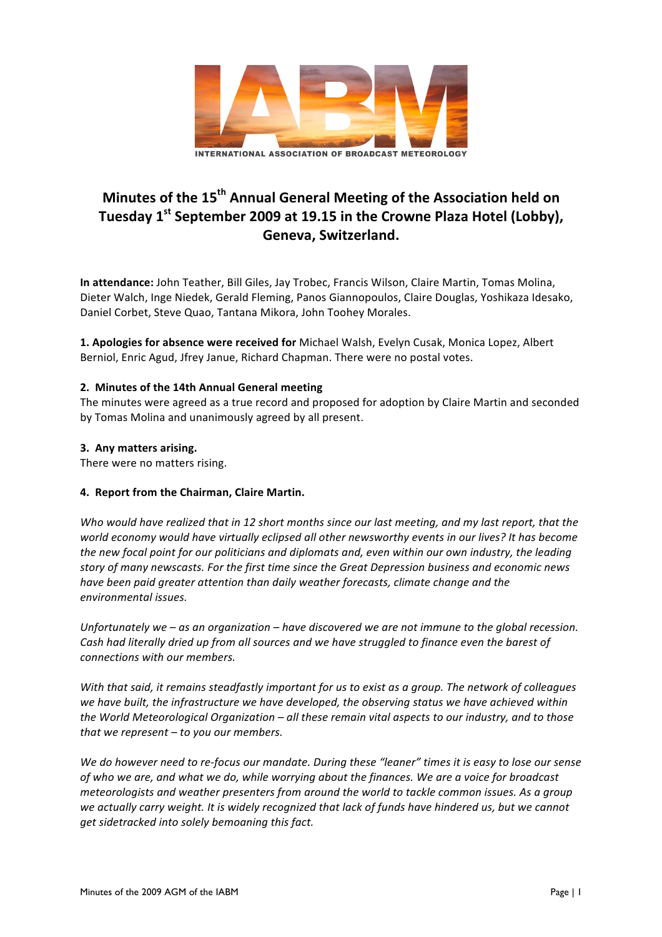

# **Minutes of the 15<sup>th</sup> Annual General Meeting of the Association held on** Tuesday 1<sup>st</sup> September 2009 at 19.15 in the Crowne Plaza Hotel (Lobby), **Geneva, Switzerland.**

In attendance: John Teather, Bill Giles, Jay Trobec, Francis Wilson, Claire Martin, Tomas Molina, Dieter Walch, Inge Niedek, Gerald Fleming, Panos Giannopoulos, Claire Douglas, Yoshikaza Idesako, Daniel Corbet, Steve Quao, Tantana Mikora, John Toohey Morales.

1. Apologies for absence were received for Michael Walsh, Evelyn Cusak, Monica Lopez, Albert Berniol, Enric Agud, Jfrey Janue, Richard Chapman. There were no postal votes.

## **2. Minutes of the 14th Annual General meeting**

The minutes were agreed as a true record and proposed for adoption by Claire Martin and seconded by Tomas Molina and unanimously agreed by all present.

### **3. Any matters arising.**

There were no matters rising.

# **4. Report from the Chairman, Claire Martin.**

Who would have realized that in 12 short months since our last meeting, and my last report, that the world economy would have virtually eclipsed all other newsworthy events in our lives? It has become *the new focal point for our politicians and diplomats and, even within our own industry, the leading* story of many newscasts. For the first time since the Great Depression business and economic news have been paid greater attention than daily weather forecasts, climate change and the *environmental issues.*

*Unfortunately* we – as an organization – have discovered we are not immune to the global recession. Cash had literally dried up from all sources and we have struggled to finance even the barest of connections with our members.

*With* that said, it remains steadfastly important for us to exist as a group. The network of colleagues we have built, the infrastructure we have developed, the observing status we have achieved within *the World Meteorological Organization* – *all* these remain vital aspects to our industry, and to those *that* we represent – to you our members.

We do however need to re-focus our mandate. During these "leaner" times it is easy to lose our sense of who we are, and what we do, while worrying about the finances. We are a voice for broadcast *meteorologists* and weather presenters from around the world to tackle common issues. As a group we actually carry weight. It is widely recognized that lack of funds have hindered us, but we cannot get sidetracked into solely bemoaning this fact.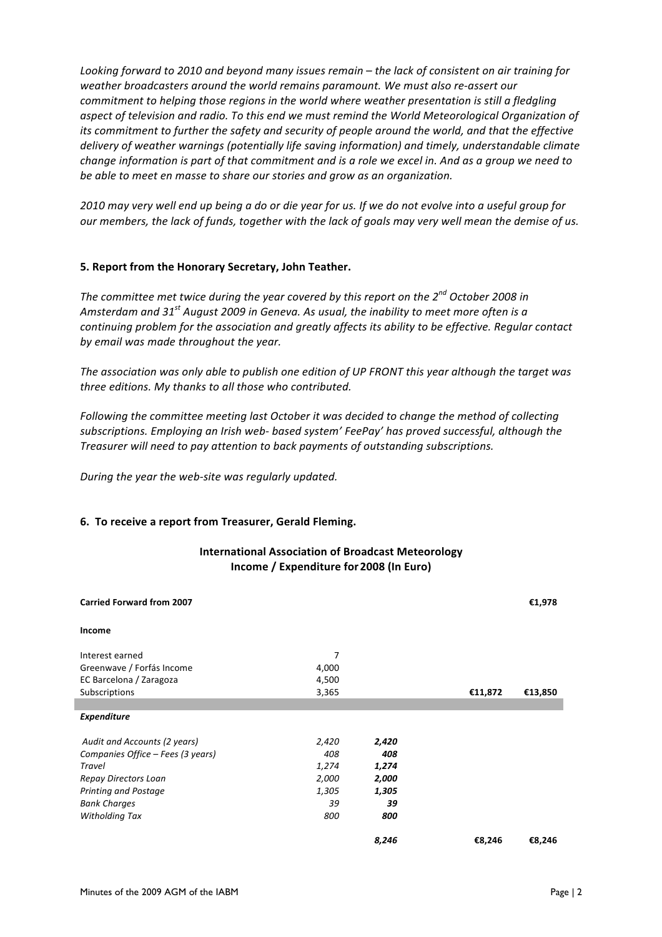Looking forward to 2010 and beyond many issues remain – the lack of consistent on air training for weather broadcasters around the world remains paramount. We must also re-assert our *commitment to helping those regions in the world where weather presentation is still a fledgling* aspect of television and radio. To this end we must remind the World Meteorological Organization of *its* commitment to further the safety and security of people around the world, and that the effective delivery of weather warnings (potentially life saving information) and timely, understandable climate *change information is part of that commitment and is a role we excel in. And as a group we need to* be able to meet en masse to share our stories and grow as an organization.

2010 may very well end up being a do or die year for us. If we do not evolve into a useful group for *our* members, the lack of funds, together with the lack of goals may very well mean the demise of us.

#### **5. Report from the Honorary Secretary, John Teather.**

The committee met twice during the year covered by this report on the 2<sup>nd</sup> October 2008 in Amsterdam and 31<sup>st</sup> August 2009 in Geneva. As usual, the inability to meet more often is a *continuing problem for the association and greatly affects its ability to be effective. Regular contact* by email was made throughout the year.

The association was only able to publish one edition of UP FRONT this year although the target was *three editions. My thanks to all those who contributed.* 

Following the committee meeting last October it was decided to change the method of collecting subscriptions. Employing an Irish web- based system' FeePay' has proved successful, although the *Treasurer will need to pay attention to back payments of outstanding subscriptions.* 

*During the year the web-site was regularly updated.* 

### **6.** To receive a report from Treasurer, Gerald Fleming.

### **International Association of Broadcast Meteorology Income / Expenditure for 2008 (In Euro)**

| <b>Carried Forward from 2007</b>  |       |       |         | €1,978  |
|-----------------------------------|-------|-------|---------|---------|
| Income                            |       |       |         |         |
| Interest earned                   | 7     |       |         |         |
| Greenwave / Forfás Income         | 4,000 |       |         |         |
| EC Barcelona / Zaragoza           | 4,500 |       |         |         |
| Subscriptions                     | 3,365 |       | €11,872 | €13,850 |
|                                   |       |       |         |         |
| <b>Expenditure</b>                |       |       |         |         |
|                                   |       |       |         |         |
| Audit and Accounts (2 years)      | 2,420 | 2,420 |         |         |
| Companies Office - Fees (3 years) | 408   | 408   |         |         |
| Travel                            | 1,274 | 1,274 |         |         |
| Repay Directors Loan              | 2,000 | 2,000 |         |         |
| Printing and Postage              | 1,305 | 1,305 |         |         |
| <b>Bank Charges</b>               | 39    | 39    |         |         |
| Witholding Tax                    | 800   | 800   |         |         |
|                                   |       | 8,246 | €8,246  | €8,246  |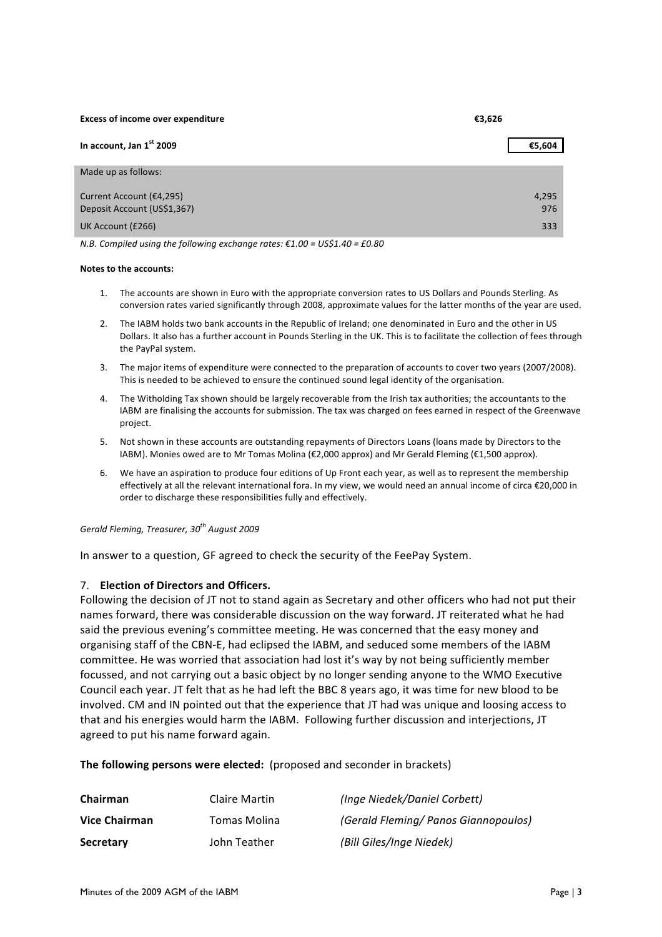**Excess of income over expenditure €3,626** 

| In account, Jan $1st$ 2009                              | €5,604       |
|---------------------------------------------------------|--------------|
| Made up as follows:                                     |              |
| Current Account (€4,295)<br>Deposit Account (US\$1,367) | 4,295<br>976 |
| UK Account (£266)                                       | 333          |

*N.B.* Compiled using the following exchange rates:  $\epsilon$ 1.00 = US\$1.40 = £0.80

#### **Notes to the accounts:**

- 1. The accounts are shown in Euro with the appropriate conversion rates to US Dollars and Pounds Sterling. As conversion rates varied significantly through 2008, approximate values for the latter months of the year are used.
- 2. The IABM holds two bank accounts in the Republic of Ireland; one denominated in Euro and the other in US Dollars. It also has a further account in Pounds Sterling in the UK. This is to facilitate the collection of fees through the PayPal system.
- 3. The major items of expenditure were connected to the preparation of accounts to cover two years (2007/2008). This is needed to be achieved to ensure the continued sound legal identity of the organisation.
- 4. The Witholding Tax shown should be largely recoverable from the Irish tax authorities; the accountants to the IABM are finalising the accounts for submission. The tax was charged on fees earned in respect of the Greenwave project.
- 5. Not shown in these accounts are outstanding repayments of Directors Loans (loans made by Directors to the IABM). Monies owed are to Mr Tomas Molina (€2,000 approx) and Mr Gerald Fleming (€1,500 approx).
- 6. We have an aspiration to produce four editions of Up Front each year, as well as to represent the membership effectively at all the relevant international fora. In my view, we would need an annual income of circa €20,000 in order to discharge these responsibilities fully and effectively.

*Gerald Fleming, Treasurer, 30<sup>th</sup> August 2009* 

In answer to a question, GF agreed to check the security of the FeePay System.

### 7. **Election of Directors and Officers.**

Following the decision of JT not to stand again as Secretary and other officers who had not put their names forward, there was considerable discussion on the way forward. JT reiterated what he had said the previous evening's committee meeting. He was concerned that the easy money and organising staff of the CBN-E, had eclipsed the IABM, and seduced some members of the IABM committee. He was worried that association had lost it's way by not being sufficiently member focussed, and not carrying out a basic object by no longer sending anyone to the WMO Executive Council each year. JT felt that as he had left the BBC 8 years ago, it was time for new blood to be involved. CM and IN pointed out that the experience that JT had was unique and loosing access to that and his energies would harm the IABM. Following further discussion and interjections, JT agreed to put his name forward again.

### **The following persons were elected:** (proposed and seconder in brackets)

| Chairman         | Claire Martin | (Inge Niedek/Daniel Corbett)         |
|------------------|---------------|--------------------------------------|
| Vice Chairman    | Tomas Molina  | (Gerald Fleming/ Panos Giannopoulos) |
| <b>Secretary</b> | John Teather  | (Bill Giles/Inge Niedek)             |